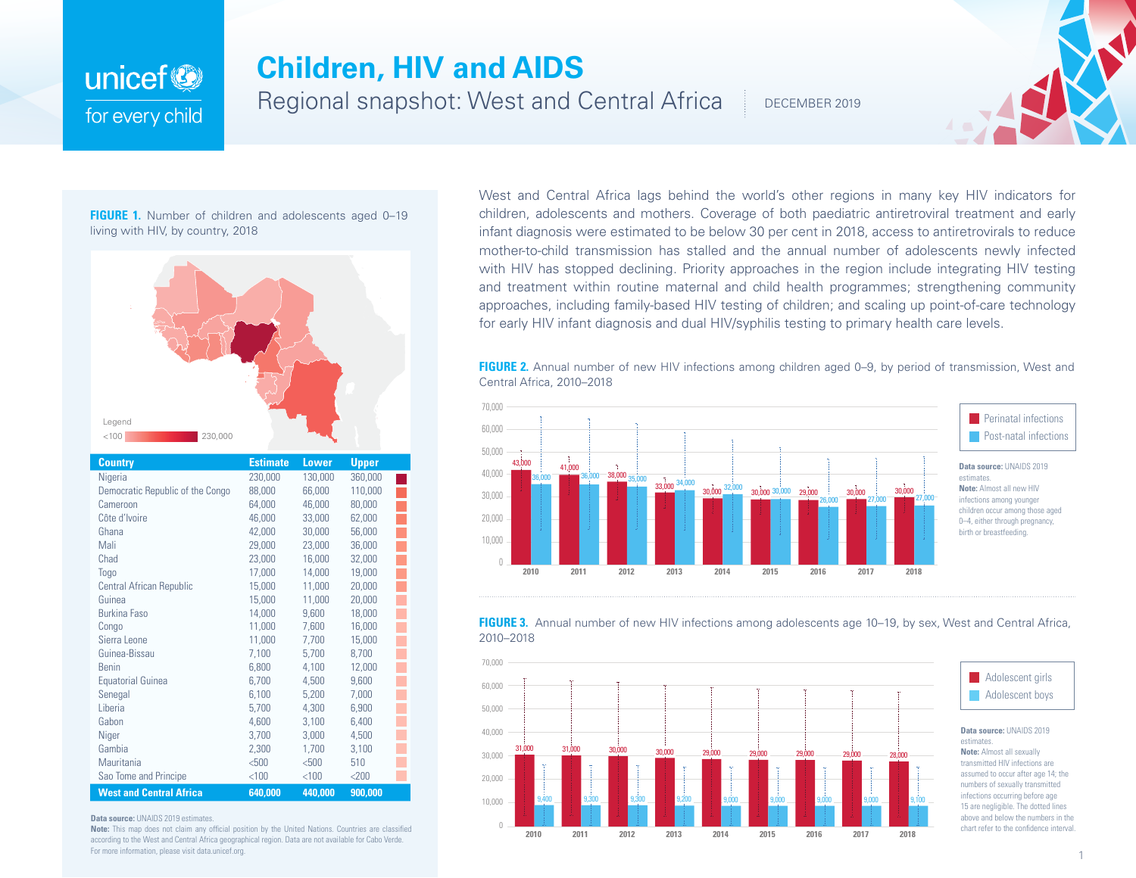## **Children, HIV and AIDS**

Regional snapshot: West and Central Africa

DECEMBER 2019

## **FIGURE 1.** Number of children and adolescents aged 0-19 living with HIV, by country, 2018

unicef<sup>(2)</sup>

for every child



| Country                          | <b>Estimate</b> | Lower   | <b>Upper</b> |  |
|----------------------------------|-----------------|---------|--------------|--|
| Nigeria                          | 230,000         | 130,000 | 360,000      |  |
| Democratic Republic of the Congo | 88,000          | 66,000  | 110,000      |  |
| Cameroon                         | 64,000          | 46,000  | 80,000       |  |
| Côte d'Ivoire                    | 46,000          | 33,000  | 62,000       |  |
| Ghana                            | 42,000          | 30,000  | 56,000       |  |
| Mali                             | 29,000          | 23,000  | 36,000       |  |
| Chad                             | 23,000          | 16,000  | 32,000       |  |
| Togo                             | 17,000          | 14,000  | 19,000       |  |
| <b>Central African Republic</b>  | 15,000          | 11,000  | 20,000       |  |
| Guinea                           | 15,000          | 11,000  | 20,000       |  |
| <b>Burkina Faso</b>              | 14,000          | 9,600   | 18,000       |  |
| Congo                            | 11,000          | 7,600   | 16,000       |  |
| Sierra Leone                     | 11,000          | 7,700   | 15,000       |  |
| Guinea-Bissau                    | 7,100           | 5,700   | 8,700        |  |
| <b>Benin</b>                     | 6,800           | 4,100   | 12,000       |  |
| Equatorial Guinea                | 6,700           | 4,500   | 9,600        |  |
| Senegal                          | 6,100           | 5,200   | 7,000        |  |
| Liberia                          | 5,700           | 4,300   | 6,900        |  |
| Gabon                            | 4,600           | 3,100   | 6,400        |  |
| Niger                            | 3,700           | 3,000   | 4,500        |  |
| Gambia                           | 2,300           | 1,700   | 3,100        |  |
| Mauritania                       | $500$           | $500$   | 510          |  |
| Sao Tome and Principe            | < 100           | < 100   | $<$ 200      |  |
| <b>West and Central Africa</b>   | 640,000         | 440,000 | 900,000      |  |

**Data source: UNAIDS 2019 estimates.** 

**Note:** This map does not claim any official position by the United Nations. Countries are classified according to the West and Central Africa geographical region. Data are not available for Cabo Verde. For more information, please visit data.unicef.org.

West and Central Africa lags behind the world's other regions in many key HIV indicators for children, adolescents and mothers. Coverage of both paediatric antiretroviral treatment and early infant diagnosis were estimated to be below 30 per cent in 2018, access to antiretrovirals to reduce mother-to-child transmission has stalled and the annual number of adolescents newly infected with HIV has stopped declining. Priority approaches in the region include integrating HIV testing and treatment within routine maternal and child health programmes; strengthening community approaches, including family-based HIV testing of children; and scaling up point-of-care technology for early HIV infant diagnosis and dual HIV/syphilis testing to primary health care levels.

**FIGURE 2.** Annual number of new HIV infections among children aged 0–9, by period of transmission, West and Central Africa, 2010–2018



**FIGURE 3.** Annual number of new HIV infections among adolescents age 10–19, by sex, West and Central Africa, 2010–2018



## **Note:** Almost all sexually transmitted HIV infections are assumed to occur after age 14; the numbers of sexually transmitted infections occurring before age 15 are negligible. The dotted lines